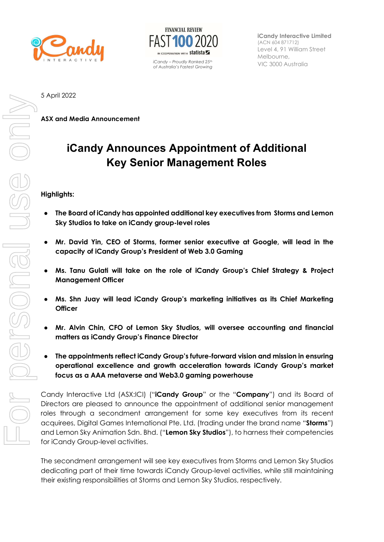



 $V/C$  3000 Australia include  $V/C$  3000 Australia of Australia's Fastest Growing

iCandy Interactive Limited (ACN 604 871712) Level 4, 91 William Street Melbourne,

5 April 2022

ASX and Media Announcement

# iCandy Announces Appointment of Additional Key Senior Management Roles

#### Highlights:

- The Board of iCandy has appointed additional key executives from Storms and Lemon Sky Studios to take on iCandy group-level roles
- Mr. David Yin, CEO of Storms, former senior executive at Google, will lead in the capacity of iCandy Group's President of Web 3.0 Gaming
- Ms. Tanu Gulati will take on the role of iCandy Group's Chief Strategy & Project Management Officer
- Ms. Shn Juay will lead iCandy Group's marketing initiatives as its Chief Marketing **Officer**
- Mr. Alvin Chin, CFO of Lemon Sky Studios, will oversee accounting and financial matters as iCandy Group's Finance Director
- The appointments reflect iCandy Group's future-forward vision and mission in ensuring operational excellence and growth acceleration towards iCandy Group's market focus as a AAA metaverse and Web3.0 gaming powerhouse

Candy Interactive Ltd (ASX:ICI) ("**iCandy Group**" or the "**Company**") and its Board of Directors are pleased to announce the appointment of additional senior management roles through a secondment arrangement for some key executives from its recent acquirees, Digital Games International Pte. Ltd. (trading under the brand name "Storms") and Lemon Sky Animation Sdn. Bhd. ("Lemon Sky Studios"), to harness their competencies for iCandy Group-level activities.

The secondment arrangement will see key executives from Storms and Lemon Sky Studios dedicating part of their time towards iCandy Group-level activities, while still maintaining their existing responsibilities at Storms and Lemon Sky Studios, respectively.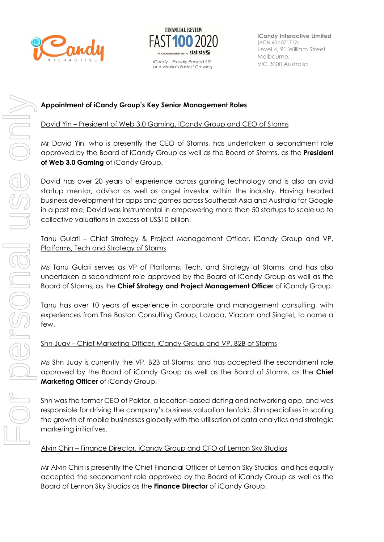



iCandy Interactive Limited (ACN 604 871712) Level 4, 91 William Street Melbourne,  $V/C$  3000 Australia include  $V/C$  3000 Australia

# Appointment of iCandy Group's Key Senior Management Roles

### David Yin – President of Web 3.0 Gaming, iCandy Group and CEO of Storms

Mr David Yin, who is presently the CEO of Storms, has undertaken a secondment role approved by the Board of iCandy Group as well as the Board of Storms, as the **President** of Web 3.0 Gaming of iCandy Group.

David has over 20 years of experience across gaming technology and is also an avid startup mentor, advisor as well as angel investor within the industry. Having headed business development for apps and games across Southeast Asia and Australia for Google in a past role, David was instrumental in empowering more than 50 startups to scale up to collective valuations in excess of US\$10 billion.

# Tanu Gulati – Chief Strategy & Project Management Officer, iCandy Group and VP, Platforms, Tech and Strategy of Storms

Ms Tanu Gulati serves as VP of Platforms, Tech, and Strategy at Storms, and has also undertaken a secondment role approved by the Board of iCandy Group as well as the Board of Storms, as the Chief Strategy and Project Management Officer of iCandy Group.

Tanu has over 10 years of experience in corporate and management consulting, with experiences from The Boston Consulting Group, Lazada, Viacom and Singtel, to name a few.

#### Shn Juay – Chief Marketing Officer, iCandy Group and VP, B2B of Storms

Ms Shn Juay is currently the VP, B2B at Storms, and has accepted the secondment role approved by the Board of iCandy Group as well as the Board of Storms, as the Chief Marketing Officer of iCandy Group.

Shn was the former CEO of Paktor, a location-based dating and networking app, and was responsible for driving the company's business valuation tenfold. Shn specialises in scaling the growth of mobile businesses globally with the utilisation of data analytics and strategic marketing initiatives.

#### Alvin Chin – Finance Director, iCandy Group and CFO of Lemon Sky Studios

Mr Alvin Chin is presently the Chief Financial Officer of Lemon Sky Studios, and has equally accepted the secondment role approved by the Board of iCandy Group as well as the Board of Lemon Sky Studios as the Finance Director of iCandy Group.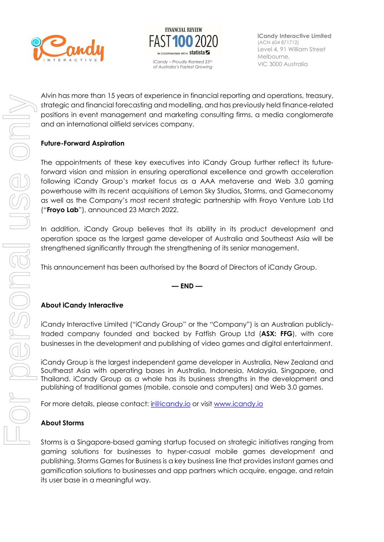



iCandy Interactive Limited (ACN 604 871712) Level 4, 91 William Street Melbourne,

Alvin has more than 15 years of experience in financial reporting and operations, treasury, strategic and financial forecasting and modelling, and has previously held finance-related positions in event management and marketing consulting firms, a media conglomerate and an international oilfield services company.

# Future-Forward Aspiration

The appointments of these key executives into iCandy Group further reflect its futureforward vision and mission in ensuring operational excellence and growth acceleration following iCandy Group's market focus as a AAA metaverse and Web 3.0 gaming powerhouse with its recent acquisitions of Lemon Sky Studios, Storms, and Gameconomy as well as the Company's most recent strategic partnership with Froyo Venture Lab Ltd ("Froyo Lab"), announced 23 March 2022.

In addition, iCandy Group believes that its ability in its product development and operation space as the largest game developer of Australia and Southeast Asia will be strengthened significantly through the strengthening of its senior management.

This announcement has been authorised by the Board of Directors of iCandy Group.

#### $-$  END  $-$

#### About iCandy Interactive

iCandy Interactive Limited ("iCandy Group" or the "Company") is an Australian publiclytraded company founded and backed by Fatfish Group Ltd (ASX: FFG), with core businesses in the development and publishing of video games and digital entertainment.

iCandy Group is the largest independent game developer in Australia, New Zealand and Southeast Asia with operating bases in Australia, Indonesia, Malaysia, Singapore, and Thailand. iCandy Group as a whole has its business strengths in the development and publishing of traditional games (mobile, console and computers) and Web 3.0 games.

For more details, please contact: ir @icandy.io or visit www.icandy.io

#### About Storms

Storms is a Singapore-based gaming startup focused on strategic initiatives ranging from gaming solutions for businesses to hyper-casual mobile games development and publishing. Storms Games for Business is a key business line that provides instant games and gamification solutions to businesses and app partners which acquire, engage, and retain its user base in a meaningful way.